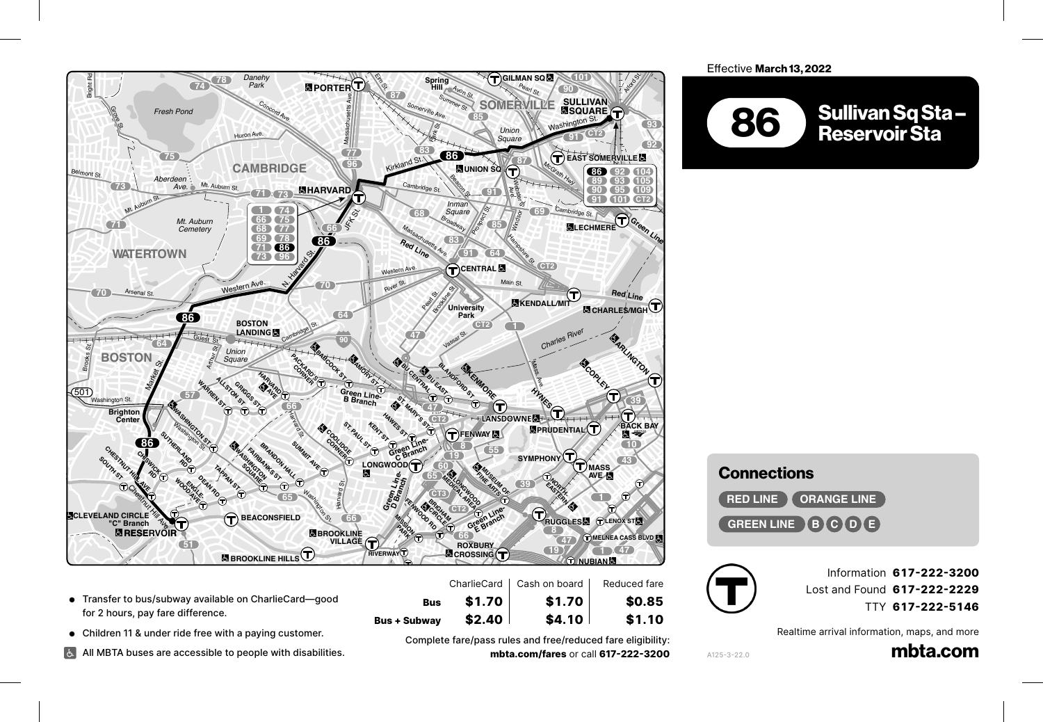

S. Hntington Ave.

- Transfer to bus/subway available on CharlieCard—good<br>for 2 hours nay fare difference for 2 hours, pay fare difference.
- **6** Children 11 & under ride free with a paying customer.

Channing Rd.

Children 11 & under ride free with a paying customer.<br>All MBTA buses are accessible to people with disabilities. Hammond St.

رسيد ہے۔<br>1617-222-Bomplete fare/pass rules and free/reduced fare eligibility:<br>1**7-222-3200 mbta.com/fares** or call **mbta.com/fares** or call **617-222-3200** 

**Bus + Subway \$2.40 \$4.10 \$1.10** Centre St.

**\$2.40** l

\$1.70

**SQUARE**

**Bus \$1.70 \$1.70 \$0.85 42**

\$4.10

## Effective March 13, 2022



## Connections **9 Conr**

**ORANGE LINE GREEN LINE B C D E**



Information **617-222-3200** Lost and Found **617-222-2229** TTY **617-222-5146**

Realtime arrival information, maps, and more

mbta.com

A125-3-22.0

**CORNER**

 $$1.10$